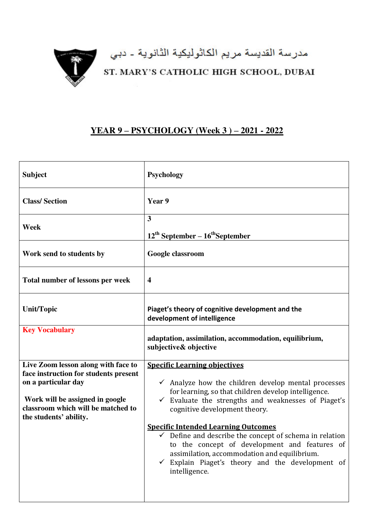

مدرسة القديسة مريم الكاثوليكية الثانوية - دبي<br>ST. MARY'S CATHOLIC HIGH SCHOOL, DUBAI

## **YEAR 9 – PSYCHOLOGY (Week 3 ) – 2021 - 2022**

| <b>Subject</b>                                                                                                                                                                                         | <b>Psychology</b>                                                                                                                                                                                                                                                                                                                                                                                                                                                                                                                                           |
|--------------------------------------------------------------------------------------------------------------------------------------------------------------------------------------------------------|-------------------------------------------------------------------------------------------------------------------------------------------------------------------------------------------------------------------------------------------------------------------------------------------------------------------------------------------------------------------------------------------------------------------------------------------------------------------------------------------------------------------------------------------------------------|
| <b>Class/Section</b>                                                                                                                                                                                   | Year 9                                                                                                                                                                                                                                                                                                                                                                                                                                                                                                                                                      |
| Week                                                                                                                                                                                                   | $\overline{\mathbf{3}}$<br>$12^{th}$ September – $16^{th}$ September                                                                                                                                                                                                                                                                                                                                                                                                                                                                                        |
| Work send to students by                                                                                                                                                                               | Google classroom                                                                                                                                                                                                                                                                                                                                                                                                                                                                                                                                            |
| Total number of lessons per week                                                                                                                                                                       | $\overline{\mathbf{4}}$                                                                                                                                                                                                                                                                                                                                                                                                                                                                                                                                     |
| <b>Unit/Topic</b>                                                                                                                                                                                      | Piaget's theory of cognitive development and the<br>development of intelligence                                                                                                                                                                                                                                                                                                                                                                                                                                                                             |
| <b>Key Vocabulary</b>                                                                                                                                                                                  | adaptation, assimilation, accommodation, equilibrium,<br>subjective& objective                                                                                                                                                                                                                                                                                                                                                                                                                                                                              |
| Live Zoom lesson along with face to<br>face instruction for students present<br>on a particular day<br>Work will be assigned in google<br>classroom which will be matched to<br>the students' ability. | <b>Specific Learning objectives</b><br>$\checkmark$ Analyze how the children develop mental processes<br>for learning, so that children develop intelligence.<br>Evaluate the strengths and weaknesses of Piaget's<br>$\checkmark$<br>cognitive development theory.<br><b>Specific Intended Learning Outcomes</b><br>$\checkmark$ Define and describe the concept of schema in relation<br>to the concept of development and features of<br>assimilation, accommodation and equilibrium.<br>Explain Piaget's theory and the development of<br>intelligence. |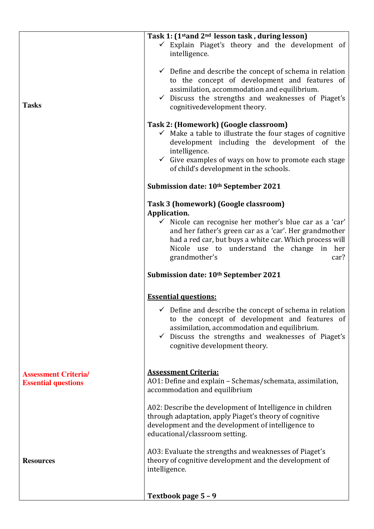|                                                           | Task 1: (1 <sup>st</sup> and 2 <sup>nd</sup> lesson task, during lesson)<br>$\checkmark$ Explain Piaget's theory and the development of                                                                                                                                                     |
|-----------------------------------------------------------|---------------------------------------------------------------------------------------------------------------------------------------------------------------------------------------------------------------------------------------------------------------------------------------------|
|                                                           | intelligence.                                                                                                                                                                                                                                                                               |
| <b>Tasks</b>                                              | $\checkmark$ Define and describe the concept of schema in relation<br>to the concept of development and features of<br>assimilation, accommodation and equilibrium.<br>$\checkmark$ Discuss the strengths and weaknesses of Piaget's<br>cognitivedevelopment theory.                        |
|                                                           | Task 2: (Homework) (Google classroom)<br>$\checkmark$ Make a table to illustrate the four stages of cognitive<br>development including the development of the<br>intelligence.<br>$\checkmark$ Give examples of ways on how to promote each stage<br>of child's development in the schools. |
|                                                           | Submission date: 10 <sup>th</sup> September 2021                                                                                                                                                                                                                                            |
|                                                           | Task 3 (homework) (Google classroom)<br>Application.                                                                                                                                                                                                                                        |
|                                                           | $\checkmark$ Nicole can recognise her mother's blue car as a 'car'<br>and her father's green car as a 'car'. Her grandmother<br>had a red car, but buys a white car. Which process will<br>Nicole use to understand the change in her<br>grandmother's<br>car?                              |
|                                                           |                                                                                                                                                                                                                                                                                             |
|                                                           | Submission date: 10 <sup>th</sup> September 2021                                                                                                                                                                                                                                            |
|                                                           | <b>Essential questions:</b>                                                                                                                                                                                                                                                                 |
|                                                           | $\checkmark$ Define and describe the concept of schema in relation<br>to the concept of development and features of<br>assimilation, accommodation and equilibrium.<br>$\checkmark$ Discuss the strengths and weaknesses of Piaget's<br>cognitive development theory.                       |
| <b>Assessment Criteria/</b><br><b>Essential questions</b> | <b>Assessment Criteria:</b><br>AO1: Define and explain - Schemas/schemata, assimilation,<br>accommodation and equilibrium                                                                                                                                                                   |
|                                                           | A02: Describe the development of Intelligence in children<br>through adaptation, apply Piaget's theory of cognitive<br>development and the development of intelligence to<br>educational/classroom setting.                                                                                 |
| <b>Resources</b>                                          | A03: Evaluate the strengths and weaknesses of Piaget's<br>theory of cognitive development and the development of<br>intelligence.                                                                                                                                                           |